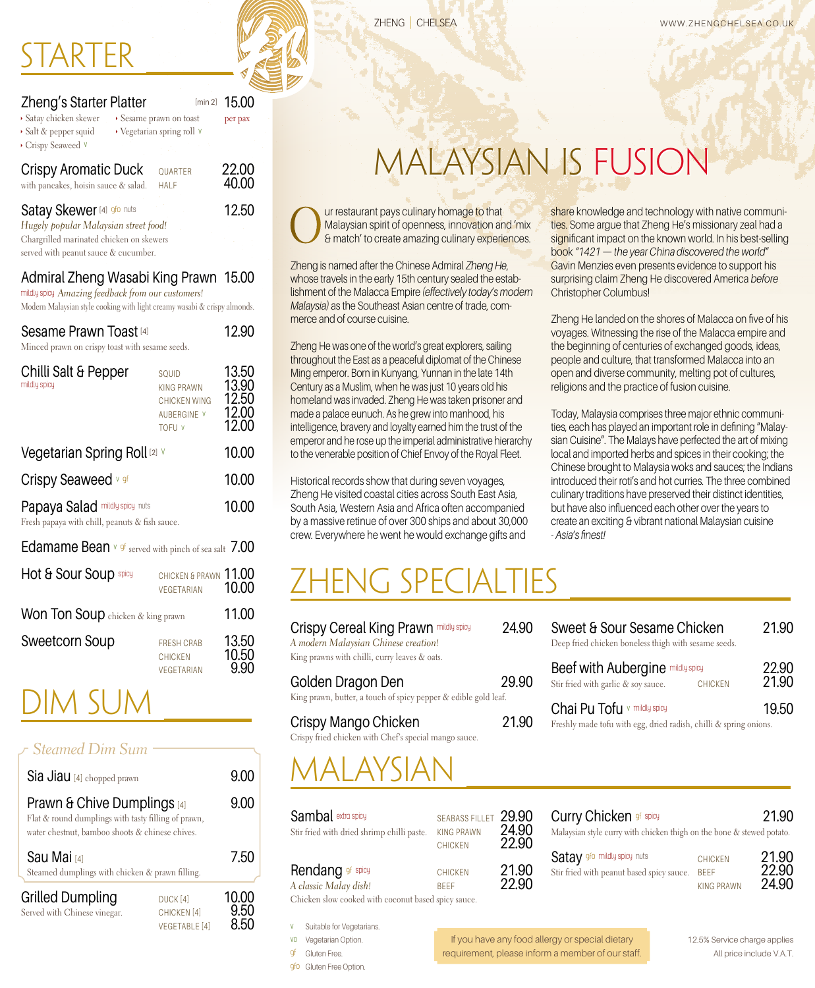#### RTFR

| Zheng's Starter Platter                                             |                                                   | [min 2] | 15.00          |
|---------------------------------------------------------------------|---------------------------------------------------|---------|----------------|
| Satay chicken skewer<br>Salt & pepper squid<br>Crispy Seaweed V     | Sesame prawn on toast<br>Vegetarian spring roll v |         | per pax        |
| <b>Crispy Aromatic Duck</b><br>with pancakes, hoisin sauce & salad. | <b>HALF</b>                                       | QUARTER | 22.00<br>40.00 |

| <b>Satay Skewer</b> [4] <b>9f0 nuts</b>  | 12.50 |  |  |
|------------------------------------------|-------|--|--|
| Hugely popular Malaysian street food!    |       |  |  |
| Chargrilled marinated chicken on skewers |       |  |  |
| served with peanut sauce & cucumber.     |       |  |  |

#### Admiral Zheng Wasabi King Prawn 15.00

mildly spicy *Amazing feedback from our customers!* 

Modern Malaysian style cooking with light creamy wasabi & crispy almonds.

| Sesame Prawn Toast [4]<br>Minced prawn on crispy toast with sesame seeds. |                                                                            | 12.90                                     |
|---------------------------------------------------------------------------|----------------------------------------------------------------------------|-------------------------------------------|
| Chilli Salt & Pepper<br>mildly spicy                                      | SQUID<br>KING PRAWN<br>CHICKEN WING<br><b>AUBERGINE V</b><br><b>TOFU V</b> | 13.50<br>13.90<br>12.50<br>12.00<br>12.00 |
| Vegetarian Spring Roll [2] V                                              |                                                                            | 10.00                                     |
| Crispy Seaweed v 9f                                                       |                                                                            | 10.00                                     |
| Papaya Salad mildly spicy nuts                                            |                                                                            |                                           |

Fresh papaya with chill, peanuts & fish sauce.

| Edamame Bean v of served with pinch of sea salt 7.00 |                                                   |                |
|------------------------------------------------------|---------------------------------------------------|----------------|
| Hot & Sour Soup spicy                                | CHICKEN & PRAWN 11.00<br>VEGETARIAN               | 10.00          |
| <b>Won Ton Soup</b> chicken & king prawn             |                                                   | 11.00          |
| <b>Sweetcorn Soup</b>                                | <b>FRESH CRAB</b><br><b>CHICKEN</b><br>VEGETARIAN | 13.50<br>10.50 |

#### Dim Sum

#### *Steamed Dim Sum*

| Sia Jiau [4] chopped prawn                                                                                                                       |                                               | 9.00  |
|--------------------------------------------------------------------------------------------------------------------------------------------------|-----------------------------------------------|-------|
| <b>Prawn &amp; Chive Dumplings</b> [4]<br>Flat & round dumplings with tasty filling of prawn,<br>water chestnut, bamboo shoots & chinese chives. |                                               | 9.00  |
| Sau Mai [4]<br>Steamed dumplings with chicken & prawn filling.                                                                                   |                                               | 7.50  |
| <b>Grilled Dumpling</b><br>Served with Chinese vinegar.                                                                                          | DUCK <sub>[4]</sub><br>CHICKEN <sup>[4]</sup> | 10.00 |

 $VEGETABLE [4]$  8.50

share knowledge and technology with native communities. Some argue that Zheng He's missionary zeal had a significant impact on the known world. In his best-selling book *"1421 — the year China discovered the world"* Gavin Menzies even presents evidence to support his surprising claim Zheng He discovered America *before*

Zheng He landed on the shores of Malacca on five of his voyages. Witnessing the rise of the Malacca empire and the beginning of centuries of exchanged goods, ideas, people and culture, that transformed Malacca into an open and diverse community, melting pot of cultures,

Today, Malaysia comprises three major ethnic communities, each has played an important role in defining "Malaysian Cuisine". The Malays have perfected the art of mixing local and imported herbs and spices in their cooking; the Chinese brought to Malaysia woks and sauces; the Indians introduced their roti's and hot curries. The three combined culinary traditions have preserved their distinct identities, but have also influenced each other over the years to create an exciting & vibrant national Malaysian cuisine

religions and the practice of fusion cuisine.

Christopher Columbus!

- *Asia's finest!*

## Malaysian Is FUSION

Our restaurant pays culinary homage to that<br>Malaysian spirit of openness, innovation are<br>& match' to create amazing culinary experi-Malaysian spirit of openness, innovation and 'mix & match' to create amazing culinary experiences.

Zheng is named after the Chinese Admiral *Zheng He*, whose travels in the early 15th century sealed the establishment of the Malacca Empire *(effectively today's modern Malaysia)* as the Southeast Asian centre of trade, commerce and of course cuisine.

Zheng He was one of the world's great explorers, sailing throughout the East as a peaceful diplomat of the Chinese Ming emperor. Born in Kunyang, Yunnan in the late 14th Century as a Muslim, when he was just 10 years old his homeland was invaded. Zheng He was taken prisoner and made a palace eunuch. As he grew into manhood, his intelligence, bravery and loyalty earned him the trust of the emperor and he rose up the imperial administrative hierarchy to the venerable position of Chief Envoy of the Royal Fleet.

Historical records show that during seven voyages, Zheng He visited coastal cities across South East Asia, South Asia, Western Asia and Africa often accompanied by a massive retinue of over 300 ships and about 30,000 crew. Everywhere he went he would exchange gifts and

#### Zheng Specialties

| Crispy Cereal King Prawn mildly spicy         | 24.90 |
|-----------------------------------------------|-------|
| A modern Malaysian Chinese creation!          |       |
| King prawns with chilli, curry leaves & oats. |       |
| $\sim$ $\sim$                                 |       |

Golden Dragon Den 29.9 King prawn, butter, a touch of spicy pepper & edible gold leaf.

| Crispy Mango Chicken                                  | 21.90 |
|-------------------------------------------------------|-------|
| Crispy fried chicken with Chef's special mango sauce. |       |

| 90 | Sweet & Sour Sesame Chicken<br>Deep fried chicken boneless thigh with sesame seeds. |                | 21.90          |
|----|-------------------------------------------------------------------------------------|----------------|----------------|
| 90 | <b>Beef with Aubergine mildly spicy</b><br>Stir fried with garlic & soy sauce.      | <b>CHICKEN</b> | 22.90<br>21.90 |
|    | Chai Pu Tofu v mildly spicy                                                         |                | 19.50          |

Freshly made tofu with egg, dried radish, chilli & spring onions.

### MALAYSIAN

| <b>Sambal</b> extra spicy<br>Stir fried with dried shrimp chilli paste. | SEABASS FILLET 29.90<br><b>KING PRAWN</b><br><b>CHICKEN</b> | 24.90<br>22.90 |
|-------------------------------------------------------------------------|-------------------------------------------------------------|----------------|
| Rendang of spicy                                                        | CHICKEN                                                     | 21.90          |
| A classic Malay dish!                                                   | <b>RFFF</b>                                                 | 22.90          |

Chicken slow cooked with coconut based spicy sauce.

- v Suitable for Vegetarians.
- V<sub>0</sub> Vegetarian Option
- gf Gluten Free.
- gfo Gluten Free Option.

# 22.90

| Malaysian style curry with chicken thigh on the bone & stewed potato. |                   |       |
|-----------------------------------------------------------------------|-------------------|-------|
| <b>Satav</b> of o mildly spicy nuts                                   | <b>CHICKEN</b>    | 21.90 |
| Stir fried with peanut based spicy sauce.                             | <b>BEFF</b>       | 22.90 |
|                                                                       | <b>KING PRAWN</b> | 24.90 |

Curry Chicken of spicy and the control of  $21.90$ 

| If you have any food allergy or special dietary   |  |
|---------------------------------------------------|--|
| requirement, please inform a member of our staff. |  |

All price include V.A.T. 12.5% Service charge applies